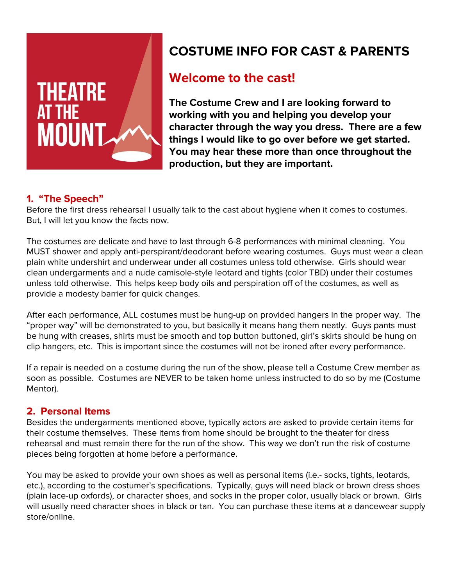

# **COSTUME INFO FOR CAST & PARENTS**

# **Welcome to the cast!**

**The Costume Crew and I are looking forward to working with you and helping you develop your character through the way you dress. There are a few things I would like to go over before we get started. You may hear these more than once throughout the production, but they are important.** 

# **1. "The Speech"**

Before the first dress rehearsal I usually talk to the cast about hygiene when it comes to costumes. But, I will let you know the facts now.

The costumes are delicate and have to last through 6-8 performances with minimal cleaning. You MUST shower and apply anti-perspirant/deodorant before wearing costumes. Guys must wear a clean plain white undershirt and underwear under all costumes unless told otherwise. Girls should wear clean undergarments and a nude camisole-style leotard and tights (color TBD) under their costumes unless told otherwise. This helps keep body oils and perspiration off of the costumes, as well as provide a modesty barrier for quick changes.

After each performance, ALL costumes must be hung-up on provided hangers in the proper way. The "proper way" will be demonstrated to you, but basically it means hang them neatly. Guys pants must be hung with creases, shirts must be smooth and top button buttoned, girl's skirts should be hung on clip hangers, etc. This is important since the costumes will not be ironed after every performance.

If a repair is needed on a costume during the run of the show, please tell a Costume Crew member as soon as possible. Costumes are NEVER to be taken home unless instructed to do so by me (Costume Mentor).

# **2. Personal Items**

Besides the undergarments mentioned above, typically actors are asked to provide certain items for their costume themselves. These items from home should be brought to the theater for dress rehearsal and must remain there for the run of the show. This way we don't run the risk of costume pieces being forgotten at home before a performance.

You may be asked to provide your own shoes as well as personal items (i.e.- socks, tights, leotards, etc.), according to the costumer's specifications. Typically, guys will need black or brown dress shoes (plain lace-up oxfords), or character shoes, and socks in the proper color, usually black or brown. Girls will usually need character shoes in black or tan. You can purchase these items at a dancewear supply store/online.